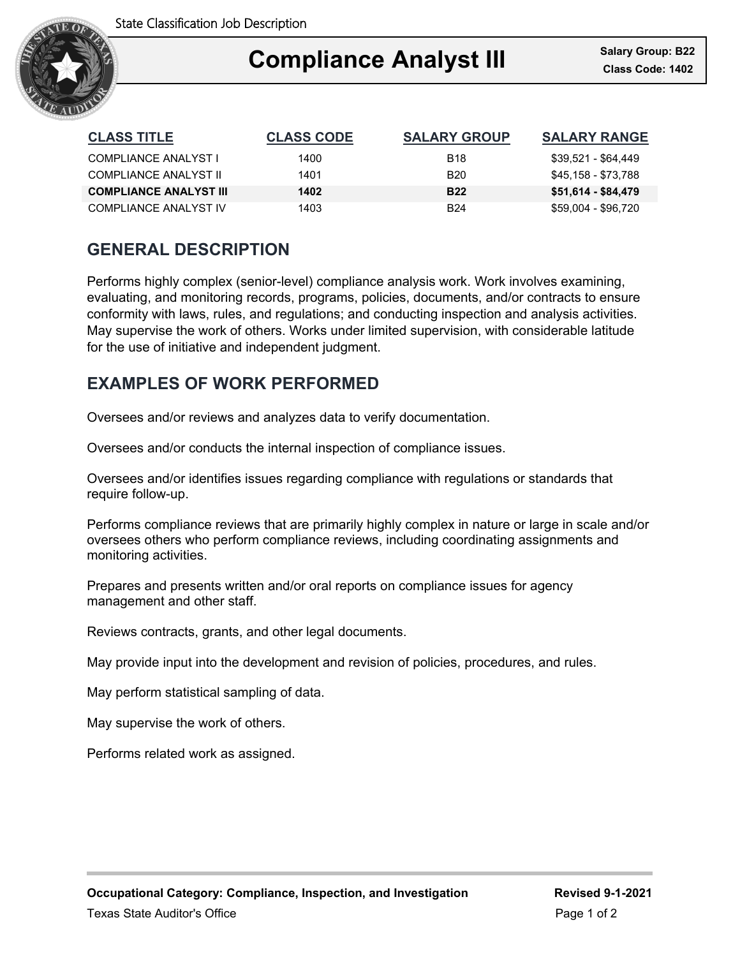

### Ξ **Compliance Analyst III**

| <b>CLASS TITLE</b>            | <b>CLASS CODE</b> | <b>SALARY GROUP</b> | <b>SALARY RANGE</b> |
|-------------------------------|-------------------|---------------------|---------------------|
| COMPLIANCE ANALYST I          | 1400              | <b>B18</b>          | \$39,521 - \$64,449 |
| COMPLIANCE ANALYST II         | 1401              | <b>B20</b>          | \$45,158 - \$73,788 |
| <b>COMPLIANCE ANALYST III</b> | 1402              | <b>B22</b>          | \$51,614 - \$84,479 |
| COMPLIANCE ANALYST IV         | 1403              | <b>B24</b>          | \$59,004 - \$96,720 |

## **GENERAL DESCRIPTION**

Performs highly complex (senior-level) compliance analysis work. Work involves examining, evaluating, and monitoring records, programs, policies, documents, and/or contracts to ensure conformity with laws, rules, and regulations; and conducting inspection and analysis activities. May supervise the work of others. Works under limited supervision, with considerable latitude for the use of initiative and independent judgment.

### **EXAMPLES OF WORK PERFORMED**

Oversees and/or reviews and analyzes data to verify documentation.

Oversees and/or conducts the internal inspection of compliance issues.

Oversees and/or identifies issues regarding compliance with regulations or standards that require follow-up.

Performs compliance reviews that are primarily highly complex in nature or large in scale and/or oversees others who perform compliance reviews, including coordinating assignments and monitoring activities.

Prepares and presents written and/or oral reports on compliance issues for agency management and other staff.

Reviews contracts, grants, and other legal documents.

May provide input into the development and revision of policies, procedures, and rules.

May perform statistical sampling of data.

May supervise the work of others.

Performs related work as assigned.